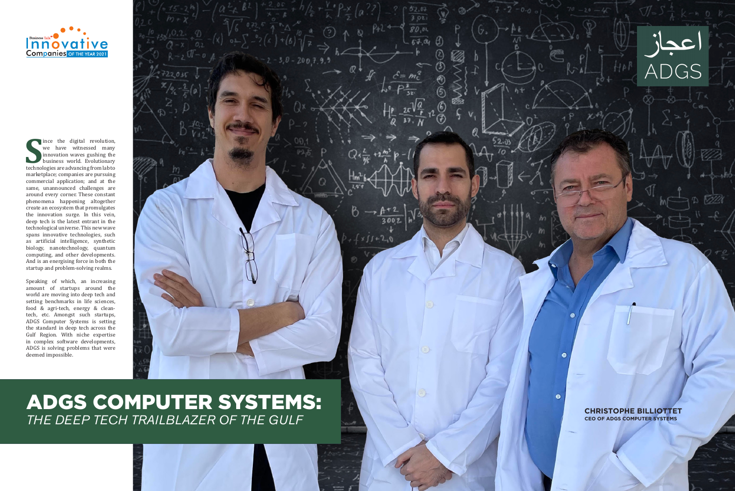

# ADGS COMPUTER SYSTEMS:<br>THE DEEP TECH TRAILBLAZER OF THE GULF





ince the digital revolution, we have witnessed many innovation waves gushing the business world. Evolutionary technologies are advancing from lab to marketplace; companies are pursuing commercial application; and at the same, unannounced challenges are around every corner. These constant phenomena happening altogether create an ecosystem that promulgates the innovation surge. In this vein, deep tech is the latest entrant in the technological universe. This new wave spans innovative technologies, such as artificial intelligence, synthetic biology, nanotechnology, quantum computing, and other developments. And is an energising force in both the startup and problem-solving realms.

Speaking of which, an increasing amount of startups around the world are moving into deep tech and setting benchmarks in life sciences, food & agri-tech, energy & cleantech, etc. Amongst such startups, ADGS Computer Systems is setting the standard in deep tech across the Gulf Region. With niche expertise in complex software developments, ADGS is solving problems that were deemed impossible.

> **CHRISTOPHE BILLIOTTET CEO OF ADGS COMPUTER SYSTEMS**

 $\epsilon$